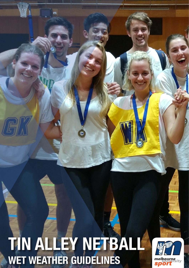## 10 **WET WEATHER GUIDELINESTIN ALLEY NETBALL**